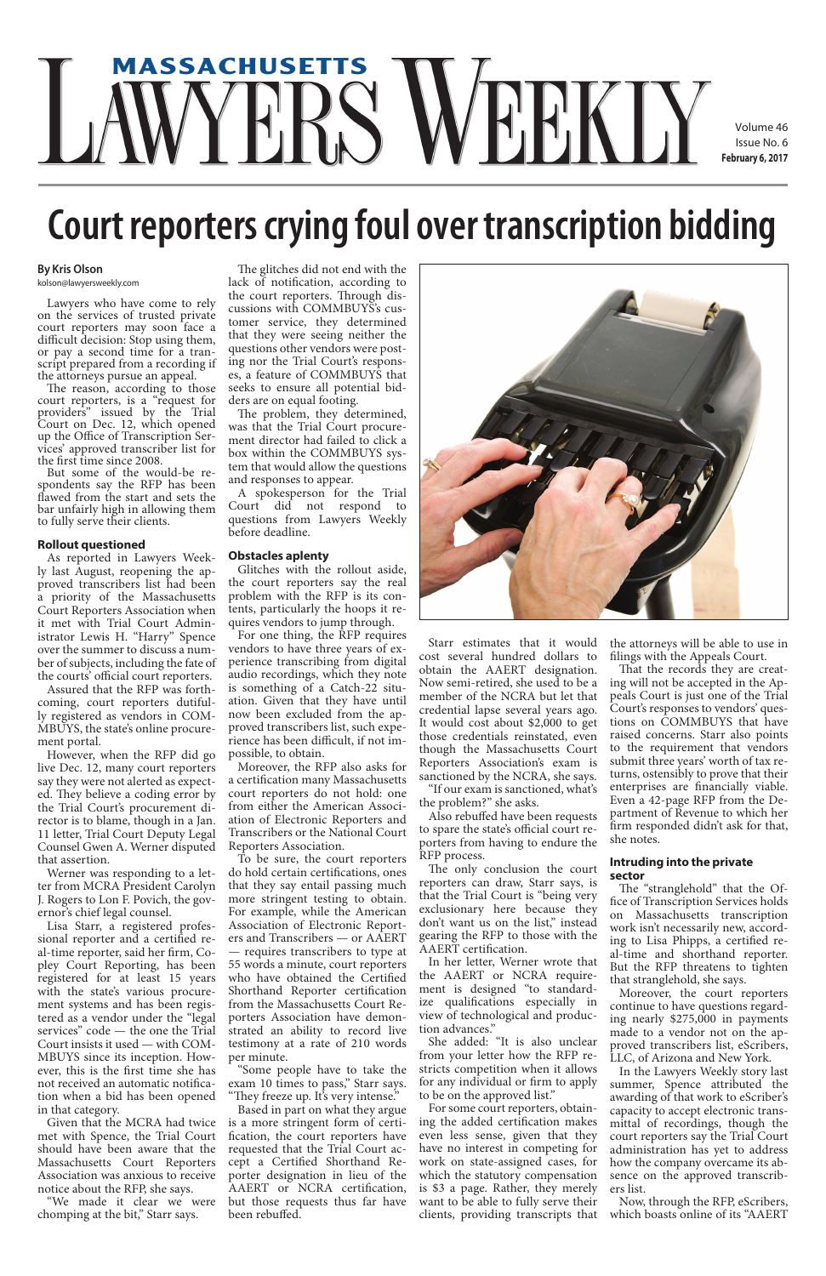# **massachusetts**

Volume 46 Issue No. 6 **February 6, 2017**

### **By Kris Olson**

kolson@lawyersweekly.com

Lawyers who have come to rely on the services of trusted private court reporters may soon face a difficult decision: Stop using them,<br>or pay a second time for a transcript prepared from a recording if the attorneys pursue an appeal.

The reason, according to those court reporters, is a "request for providers" issued by the Trial Court on Dec. 12, which opened up the Office of Transcription Ser- vices' approved transcriber list for the first time since 2008.

But some of the would-be re- spondents say the RFP has been flawed from the start and sets the bar unfairly high in allowing them to fully serve their clients.

### **Rollout questioned**

As reported in Lawyers Weekly last August, reopening the approved transcribers list had been a priority of the Massachusetts Court Reporters Association when it met with Trial Court Administrator Lewis H. "Harry" Spence over the summer to discuss a number of subjects, including the fate of the courts' official court reporters.

Assured that the RFP was forthcoming, court reporters dutifully registered as vendors in COM-MBUYS, the state's online procurement portal.

However, when the RFP did go live Dec. 12, many court reporters say they were not alerted as expected. They believe a coding error by the Trial Court's procurement director is to blame, though in a Jan. 11 letter, Trial Court Deputy Legal Counsel Gwen A. Werner disputed that assertion.

Werner was responding to a letter from MCRA President Carolyn J. Rogers to Lon F. Povich, the governor's chief legal counsel.

Lisa Starr, a registered professional reporter and a certified real-time reporter, said her firm, Copley Court Reporting, has been registered for at least 15 years with the state's various procurement systems and has been registered as a vendor under the "legal services" code — the one the Trial Court insists it used — with COM-MBUYS since its inception. However, this is the first time she has not received an automatic notification when a bid has been opened in that category. Given that the MCRA had twice met with Spence, the Trial Court should have been aware that the Massachusetts Court Reporters Association was anxious to receive notice about the RFP, she says.

"We made it clear we were chomping at the bit," Starr says.

The glitches did not end with the lack of notification, according to the court reporters. Through discussions with COMMBUYS's customer service, they determined that they were seeing neither the questions other vendors were posting nor the Trial Court's responses, a feature of COMMBUYS that seeks to ensure all potential bidders are on equal footing.

The problem, they determined, was that the Trial Court procurement director had failed to click a box within the COMMBUYS system that would allow the questions and responses to appear.

A spokesperson for the Trial Court did not respond to questions from Lawyers Weekly before deadline.

#### **Obstacles aplenty**

Glitches with the rollout aside, the court reporters say the real problem with the RFP is its contents, particularly the hoops it requires vendors to jump through.

For one thing, the RFP requires vendors to have three years of experience transcribing from digital audio recordings, which they note is something of a Catch-22 situation. Given that they have until now been excluded from the approved transcribers list, such experience has been difficult, if not impossible, to obtain.

Moreover, the RFP also asks for a certification many Massachusetts court reporters do not hold: one from either the American Association of Electronic Reporters and Transcribers or the National Court Reporters Association.

To be sure, the court reporters do hold certain certifications, ones that they say entail passing much more stringent testing to obtain. For example, while the American Association of Electronic Reporters and Transcribers — or AAERT — requires transcribers to type at 55 words a minute, court reporters who have obtained the Certified Shorthand Reporter certification from the Massachusetts Court Reporters Association have demonstrated an ability to record live testimony at a rate of 210 words per minute. "Some people have to take the exam 10 times to pass," Starr says. "They freeze up. It's very intense." Based in part on what they argue is a more stringent form of certification, the court reporters have requested that the Trial Court accept a Certified Shorthand Reporter designation in lieu of the AAERT or NCRA certification, but those requests thus far have been rebuffed.



Starr estimates that it would cost several hundred dollars to obtain the AAERT designation. Now semi-retired, she used to be a member of the NCRA but let that credential lapse several years ago. It would cost about \$2,000 to get those credentials reinstated, even though the Massachusetts Court Reporters Association's exam is sanctioned by the NCRA, she says.

"If our exam is sanctioned, what's the problem?" she asks.

Also rebuffed have been requests to spare the state's official court reporters from having to endure the RFP process.

The only conclusion the court reporters can draw, Starr says, is that the Trial Court is "being very exclusionary here because they don't want us on the list," instead gearing the RFP to those with the

AAERT certification.

In her letter, Werner wrote that the AAERT or NCRA requirement is designed "to standardize qualifications especially in view of technological and production advances."

She added: "It is also unclear from your letter how the RFP restricts competition when it allows for any individual or firm to apply to be on the approved list."

For some court reporters, obtaining the added certification makes even less sense, given that they have no interest in competing for work on state-assigned cases, for which the statutory compensation is \$3 a page. Rather, they merely want to be able to fully serve their clients, providing transcripts that the attorneys will be able to use in filings with the Appeals Court.

That the records they are creating will not be accepted in the Appeals Court is just one of the Trial Court's responses to vendors' questions on COMMBUYS that have raised concerns. Starr also points to the requirement that vendors submit three years' worth of tax returns, ostensibly to prove that their enterprises are financially viable. Even a 42-page RFP from the Department of Revenue to which her firm responded didn't ask for that, she notes.

#### **Intruding into the private sector**

The "stranglehold" that the Office of Transcription Services holds on Massachusetts transcription work isn't necessarily new, according to Lisa Phipps, a certified real-time and shorthand reporter. But the RFP threatens to tighten that stranglehold, she says. Moreover, the court reporters continue to have questions regarding nearly \$275,000 in payments made to a vendor not on the approved transcribers list, eScribers, LLC, of Arizona and New York. In the Lawyers Weekly story last summer, Spence attributed the awarding of that work to eScriber's capacity to accept electronic transmittal of recordings, though the court reporters say the Trial Court administration has yet to address how the company overcame its absence on the approved transcribers list.

Now, through the RFP, eScribers, which boasts online of its "AAERT

## **Court reporters crying foul over transcription bidding**